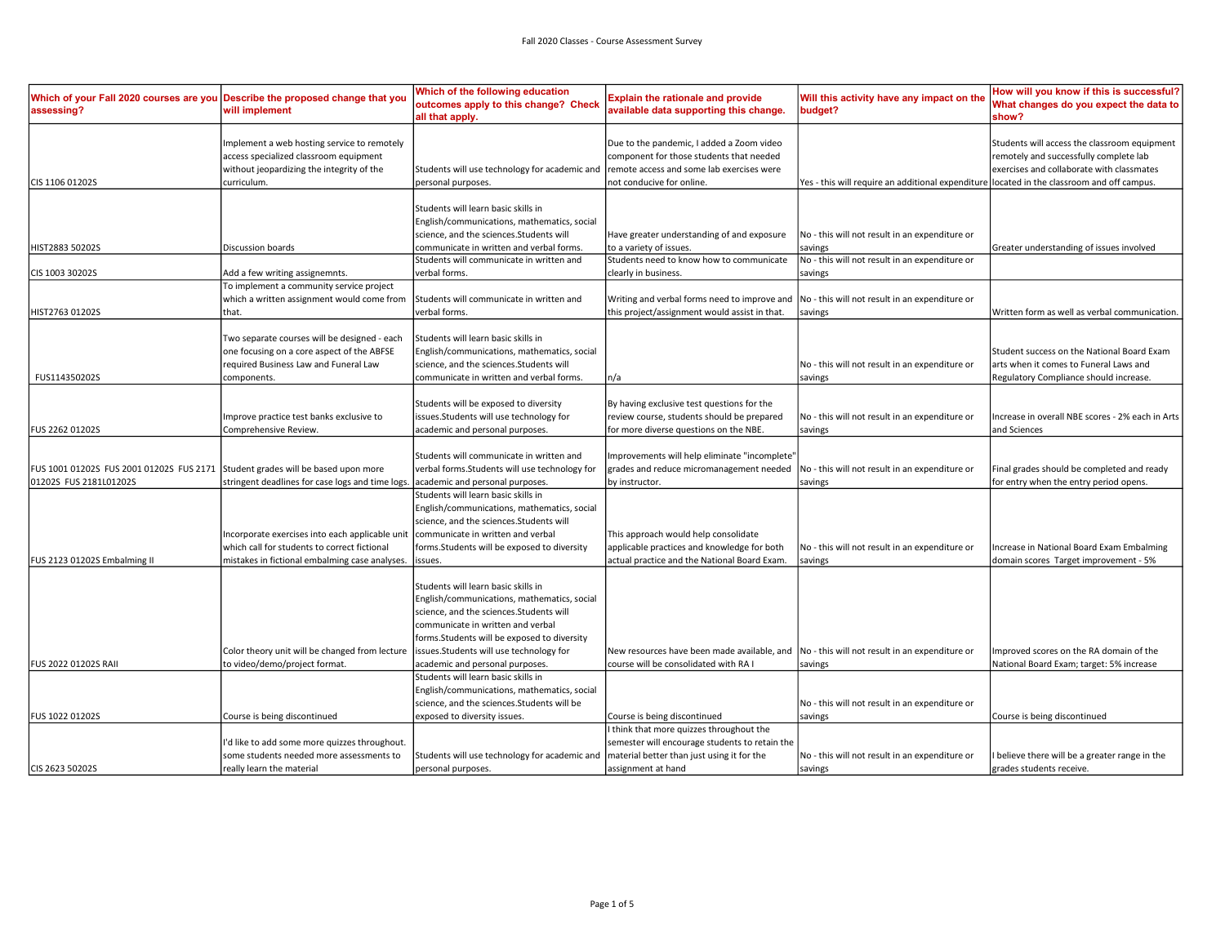| Which of your Fall 2020 courses are you Describe the proposed change that you<br>assessing? | will implement                                                                                                                                      | Which of the following education<br>outcomes apply to this change? Check<br>all that apply.                                                                                                                                                                   | <b>Explain the rationale and provide</b><br>available data supporting this change.                                                                             | Will this activity have any impact on the<br>budget?                                       | How will you know if this is successful?<br>What changes do you expect the data to<br>show?                                         |
|---------------------------------------------------------------------------------------------|-----------------------------------------------------------------------------------------------------------------------------------------------------|---------------------------------------------------------------------------------------------------------------------------------------------------------------------------------------------------------------------------------------------------------------|----------------------------------------------------------------------------------------------------------------------------------------------------------------|--------------------------------------------------------------------------------------------|-------------------------------------------------------------------------------------------------------------------------------------|
|                                                                                             | Implement a web hosting service to remotely<br>access specialized classroom equipment<br>without jeopardizing the integrity of the                  | Students will use technology for academic and                                                                                                                                                                                                                 | Due to the pandemic, I added a Zoom video<br>component for those students that needed<br>remote access and some lab exercises were                             |                                                                                            | Students will access the classroom equipment<br>remotely and successfully complete lab<br>exercises and collaborate with classmates |
| CIS 1106 01202S                                                                             | curriculum.                                                                                                                                         | personal purposes.                                                                                                                                                                                                                                            | not conducive for online.                                                                                                                                      | Yes - this will require an additional expenditure located in the classroom and off campus. |                                                                                                                                     |
| HIST2883 50202S                                                                             | Discussion boards                                                                                                                                   | Students will learn basic skills in<br>English/communications, mathematics, social<br>science, and the sciences.Students will<br>communicate in written and verbal forms.                                                                                     | Have greater understanding of and exposure<br>to a variety of issues.                                                                                          | No - this will not result in an expenditure or<br>savings                                  | Greater understanding of issues involved                                                                                            |
|                                                                                             |                                                                                                                                                     | Students will communicate in written and                                                                                                                                                                                                                      | Students need to know how to communicate                                                                                                                       | No - this will not result in an expenditure or                                             |                                                                                                                                     |
| CIS 1003 30202S                                                                             | Add a few writing assignemnts.                                                                                                                      | verbal forms.                                                                                                                                                                                                                                                 | clearly in business.                                                                                                                                           | savings                                                                                    |                                                                                                                                     |
| HIST2763 01202S                                                                             | To implement a community service project<br>which a written assignment would come from<br>that.                                                     | Students will communicate in written and<br>verbal forms.                                                                                                                                                                                                     | Writing and verbal forms need to improve and  No - this will not result in an expenditure or<br>this project/assignment would assist in that.                  | savings                                                                                    | Written form as well as verbal communication.                                                                                       |
|                                                                                             | Two separate courses will be designed - each<br>one focusing on a core aspect of the ABFSE<br>required Business Law and Funeral Law                 | Students will learn basic skills in<br>English/communications, mathematics, social<br>science, and the sciences. Students will                                                                                                                                |                                                                                                                                                                | No - this will not result in an expenditure or                                             | Student success on the National Board Exam<br>arts when it comes to Funeral Laws and                                                |
| FUS114350202S                                                                               | components.                                                                                                                                         | communicate in written and verbal forms.                                                                                                                                                                                                                      | n/a                                                                                                                                                            | savings                                                                                    | Regulatory Compliance should increase.                                                                                              |
| <b>FUS 2262 01202S</b>                                                                      | Improve practice test banks exclusive to<br>Comprehensive Review.                                                                                   | Students will be exposed to diversity<br>issues.Students will use technology for<br>academic and personal purposes.                                                                                                                                           | By having exclusive test questions for the<br>review course, students should be prepared<br>for more diverse questions on the NBE.                             | No - this will not result in an expenditure or<br>savings                                  | Increase in overall NBE scores - 2% each in Arts<br>and Sciences                                                                    |
| FUS 1001 01202S FUS 2001 01202S FUS 2171 Student grades will be based upon more             |                                                                                                                                                     | Students will communicate in written and<br>verbal forms. Students will use technology for                                                                                                                                                                    | Improvements will help eliminate "incomplete'<br>grades and reduce micromanagement needed                                                                      | No - this will not result in an expenditure or                                             | Final grades should be completed and ready                                                                                          |
| 01202S FUS 2181L01202S                                                                      | stringent deadlines for case logs and time logs.<br>Incorporate exercises into each applicable unit<br>which call for students to correct fictional | academic and personal purposes.<br>Students will learn basic skills in<br>English/communications, mathematics, social<br>science, and the sciences. Students will<br>communicate in written and verbal<br>forms.Students will be exposed to diversity         | by instructor.<br>This approach would help consolidate<br>applicable practices and knowledge for both                                                          | savings<br>No - this will not result in an expenditure or                                  | for entry when the entry period opens.<br>Increase in National Board Exam Embalming                                                 |
| FUS 2123 01202S Embalming II                                                                | mistakes in fictional embalming case analyses.                                                                                                      | issues.                                                                                                                                                                                                                                                       | actual practice and the National Board Exam.                                                                                                                   | savings                                                                                    | domain scores Target improvement - 5%                                                                                               |
|                                                                                             | Color theory unit will be changed from lecture                                                                                                      | Students will learn basic skills in<br>English/communications, mathematics, social<br>science, and the sciences. Students will<br>communicate in written and verbal<br>forms.Students will be exposed to diversity<br>issues.Students will use technology for | New resources have been made available, and No - this will not result in an expenditure or                                                                     |                                                                                            | Improved scores on the RA domain of the                                                                                             |
| <b>FUS 2022 01202S RAII</b>                                                                 | to video/demo/project format.                                                                                                                       | academic and personal purposes.                                                                                                                                                                                                                               | course will be consolidated with RA I                                                                                                                          | savings                                                                                    | National Board Exam; target: 5% increase                                                                                            |
|                                                                                             |                                                                                                                                                     | Students will learn basic skills in<br>English/communications, mathematics, social<br>science, and the sciences. Students will be                                                                                                                             |                                                                                                                                                                | No - this will not result in an expenditure or                                             |                                                                                                                                     |
| FUS 1022 01202S                                                                             | Course is being discontinued                                                                                                                        | exposed to diversity issues.                                                                                                                                                                                                                                  | Course is being discontinued                                                                                                                                   | savings                                                                                    | Course is being discontinued                                                                                                        |
| CIS 2623 50202S                                                                             | I'd like to add some more quizzes throughout.<br>some students needed more assessments to<br>really learn the material                              | Students will use technology for academic and<br>personal purposes.                                                                                                                                                                                           | I think that more quizzes throughout the<br>semester will encourage students to retain the<br>material better than just using it for the<br>assignment at hand | No - this will not result in an expenditure or<br>savings                                  | I believe there will be a greater range in the<br>grades students receive.                                                          |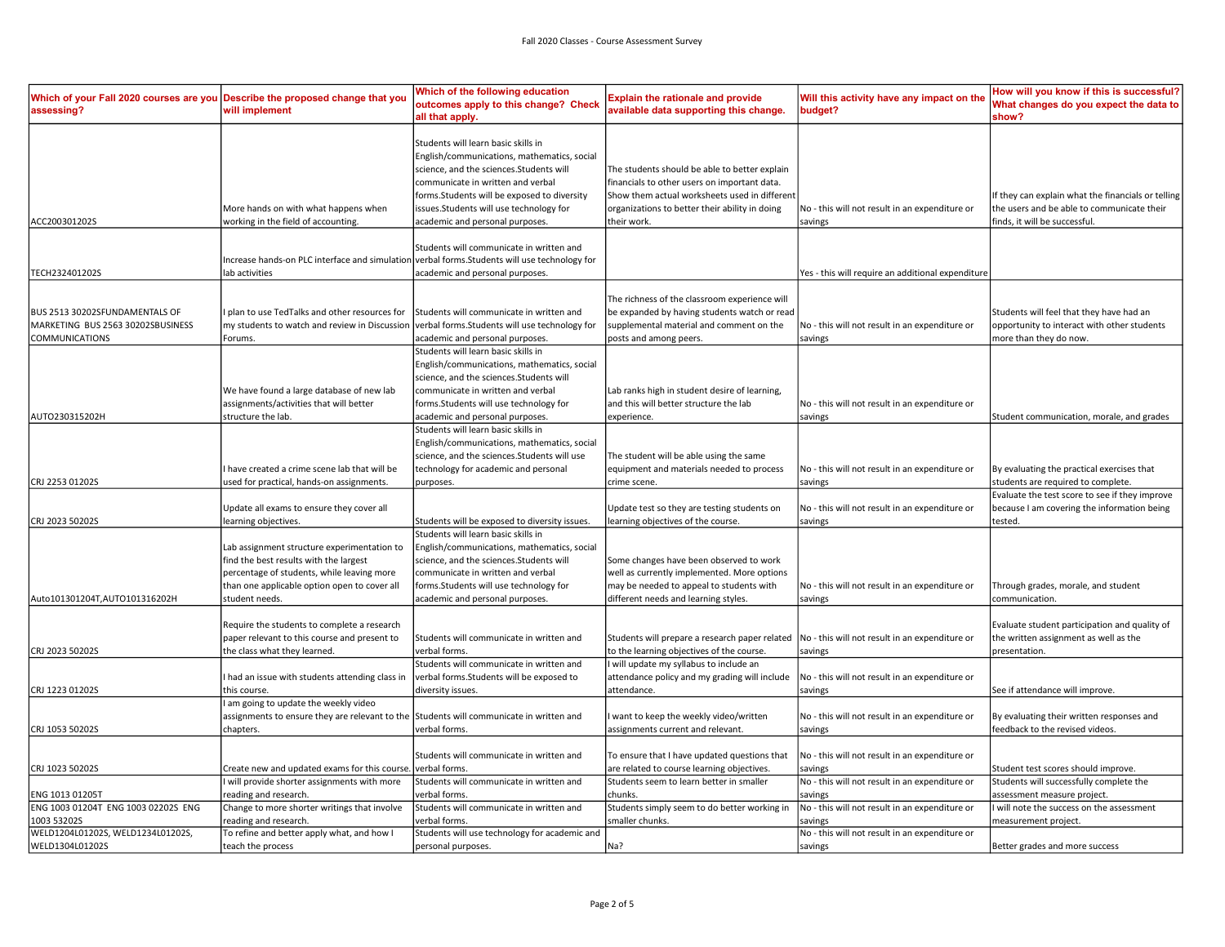| Which of your Fall 2020 courses are you Describe the proposed change that you<br>assessing?  | will implement                                                                                                                                                                                        | Which of the following education<br>outcomes apply to this change? Check<br>all that apply.                                                                                                                                                                                                     | <b>Explain the rationale and provide</b><br>available data supporting this change.                                                                                                                              | Will this activity have any impact on the<br>budget?                                                                   | How will you know if this is successful?<br>What changes do you expect the data to<br>show?                                                 |
|----------------------------------------------------------------------------------------------|-------------------------------------------------------------------------------------------------------------------------------------------------------------------------------------------------------|-------------------------------------------------------------------------------------------------------------------------------------------------------------------------------------------------------------------------------------------------------------------------------------------------|-----------------------------------------------------------------------------------------------------------------------------------------------------------------------------------------------------------------|------------------------------------------------------------------------------------------------------------------------|---------------------------------------------------------------------------------------------------------------------------------------------|
| ACC200301202S                                                                                | More hands on with what happens when<br>working in the field of accounting.                                                                                                                           | Students will learn basic skills in<br>English/communications, mathematics, social<br>science, and the sciences.Students will<br>communicate in written and verbal<br>forms.Students will be exposed to diversity<br>issues.Students will use technology for<br>academic and personal purposes. | The students should be able to better explain<br>financials to other users on important data.<br>Show them actual worksheets used in different<br>organizations to better their ability in doing<br>their work. | No - this will not result in an expenditure or<br>savings                                                              | f they can explain what the financials or telling<br>the users and be able to communicate their<br>finds, it will be successful.            |
| TECH232401202S                                                                               | Increase hands-on PLC interface and simulation verbal forms. Students will use technology for<br>lab activities                                                                                       | Students will communicate in written and<br>academic and personal purposes.                                                                                                                                                                                                                     |                                                                                                                                                                                                                 | Yes - this will require an additional expenditure                                                                      |                                                                                                                                             |
| BUS 2513 30202SFUNDAMENTALS OF<br>MARKETING BUS 2563 30202SBUSINESS<br><b>COMMUNICATIONS</b> | plan to use TedTalks and other resources for<br>my students to watch and review in Discussion<br>Forums.                                                                                              | Students will communicate in written and<br>verbal forms. Students will use technology for<br>academic and personal purposes.                                                                                                                                                                   | The richness of the classroom experience will<br>be expanded by having students watch or read<br>supplemental material and comment on the<br>posts and among peers.                                             | No - this will not result in an expenditure or<br>savings                                                              | Students will feel that they have had an<br>opportunity to interact with other students<br>more than they do now.                           |
| AUTO230315202H                                                                               | We have found a large database of new lab<br>assignments/activities that will better<br>structure the lab.                                                                                            | Students will learn basic skills in<br>English/communications, mathematics, social<br>science, and the sciences.Students will<br>communicate in written and verbal<br>forms.Students will use technology for<br>academic and personal purposes.                                                 | Lab ranks high in student desire of learning,<br>and this will better structure the lab<br>experience.                                                                                                          | No - this will not result in an expenditure or<br>savings                                                              | Student communication, morale, and grades                                                                                                   |
| CRJ 2253 01202S                                                                              | I have created a crime scene lab that will be<br>used for practical, hands-on assignments.                                                                                                            | Students will learn basic skills in<br>English/communications, mathematics, social<br>science, and the sciences.Students will use<br>technology for academic and personal<br>purposes.                                                                                                          | The student will be able using the same<br>equipment and materials needed to process<br>crime scene.                                                                                                            | No - this will not result in an expenditure or<br>savings                                                              | By evaluating the practical exercises that<br>students are required to complete.                                                            |
| CRJ 2023 50202S                                                                              | Update all exams to ensure they cover all<br>learning objectives.                                                                                                                                     | Students will be exposed to diversity issues.                                                                                                                                                                                                                                                   | Update test so they are testing students on<br>learning objectives of the course.                                                                                                                               | No - this will not result in an expenditure or<br>savings                                                              | Evaluate the test score to see if they improve<br>because I am covering the information being<br>tested.                                    |
| Auto101301204T,AUTO101316202H                                                                | Lab assignment structure experimentation to<br>find the best results with the largest<br>percentage of students, while leaving more<br>than one applicable option open to cover all<br>student needs. | Students will learn basic skills in<br>English/communications, mathematics, social<br>science, and the sciences.Students will<br>communicate in written and verbal<br>forms.Students will use technology for<br>academic and personal purposes.                                                 | Some changes have been observed to work<br>well as currently implemented. More options<br>may be needed to appeal to students with<br>different needs and learning styles.                                      | No - this will not result in an expenditure or<br>savings                                                              | Through grades, morale, and student<br>communication.                                                                                       |
| CRJ 2023 50202S                                                                              | Require the students to complete a research<br>paper relevant to this course and present to<br>the class what they learned.                                                                           | Students will communicate in written and<br>verbal forms.                                                                                                                                                                                                                                       | Students will prepare a research paper related<br>to the learning objectives of the course.                                                                                                                     | No - this will not result in an expenditure or<br>savings                                                              | Evaluate student participation and quality of<br>the written assignment as well as the<br>presentation.                                     |
| CRJ 1223 01202S                                                                              | I had an issue with students attending class in<br>this course.                                                                                                                                       | Students will communicate in written and<br>verbal forms.Students will be exposed to<br>diversity issues.                                                                                                                                                                                       | I will update my syllabus to include an<br>attendance policy and my grading will include<br>attendance.                                                                                                         | No - this will not result in an expenditure or<br>savings                                                              | See if attendance will improve.                                                                                                             |
| CRJ 1053 50202S                                                                              | I am going to update the weekly video<br>assignments to ensure they are relevant to the Students will communicate in written and<br>chapters.                                                         | verbal forms.                                                                                                                                                                                                                                                                                   | I want to keep the weekly video/written<br>assignments current and relevant.                                                                                                                                    | No - this will not result in an expenditure or<br>savings                                                              | By evaluating their written responses and<br>feedback to the revised videos.                                                                |
| CRJ 1023 50202S                                                                              | Create new and updated exams for this course.                                                                                                                                                         | Students will communicate in written and<br>verbal forms.                                                                                                                                                                                                                                       | To ensure that I have updated questions that<br>are related to course learning objectives.                                                                                                                      | No - this will not result in an expenditure or<br>savings                                                              | Student test scores should improve.                                                                                                         |
| ENG 1013 01205T<br>ENG 1003 01204T ENG 1003 02202S ENG<br>1003 53202S                        | I will provide shorter assignments with more<br>reading and research.<br>Change to more shorter writings that involve<br>reading and research.                                                        | Students will communicate in written and<br>verbal forms.<br>Students will communicate in written and<br>erbal forms.                                                                                                                                                                           | Students seem to learn better in smaller<br>chunks.<br>Students simply seem to do better working in<br>smaller chunks.                                                                                          | No - this will not result in an expenditure or<br>savings<br>No - this will not result in an expenditure or<br>savings | Students will successfully complete the<br>assessment measure project.<br>I will note the success on the assessment<br>measurement project. |
| WELD1204L01202S, WELD1234L01202S,<br>WELD1304L01202S                                         | To refine and better apply what, and how I<br>teach the process                                                                                                                                       | Students will use technology for academic and<br>personal purposes.                                                                                                                                                                                                                             | Na?                                                                                                                                                                                                             | No - this will not result in an expenditure or<br>savings                                                              | Better grades and more success                                                                                                              |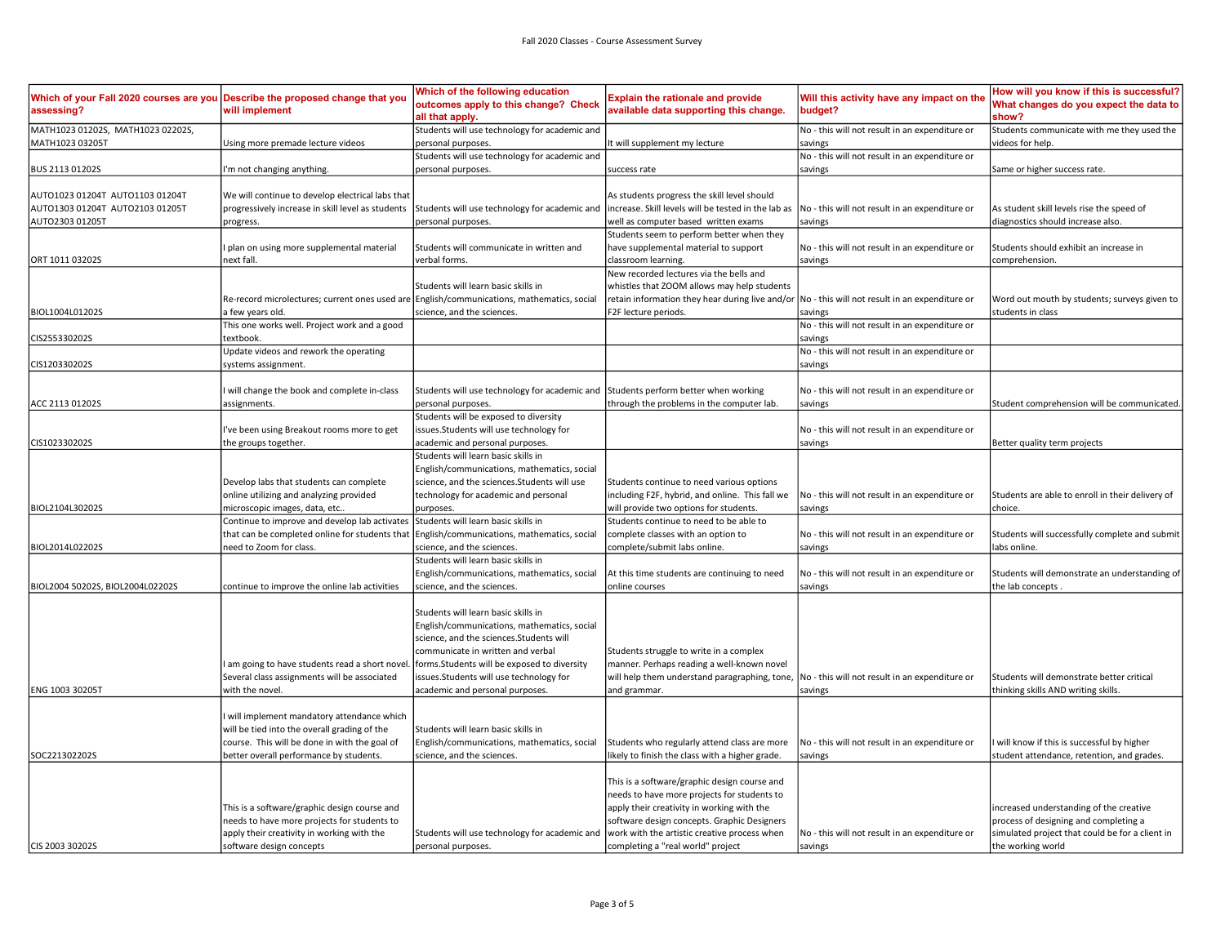| Which of your Fall 2020 courses are you<br>assessing? | Describe the proposed change that you<br>will implement                                                                                                       | Which of the following education<br>outcomes apply to this change? Check<br>all that apply.                                                                                                                                                       | <b>Explain the rationale and provide</b><br>available data supporting this change.                                                                                                                                                       | Will this activity have any impact on the<br>budget?      | How will you know if this is successful?<br>What changes do you expect the data to<br>show?                                         |
|-------------------------------------------------------|---------------------------------------------------------------------------------------------------------------------------------------------------------------|---------------------------------------------------------------------------------------------------------------------------------------------------------------------------------------------------------------------------------------------------|------------------------------------------------------------------------------------------------------------------------------------------------------------------------------------------------------------------------------------------|-----------------------------------------------------------|-------------------------------------------------------------------------------------------------------------------------------------|
| MATH1023 01202S, MATH1023 02202S,<br>MATH1023 03205T  | Using more premade lecture videos                                                                                                                             | Students will use technology for academic and<br>personal purposes.                                                                                                                                                                               | t will supplement my lecture                                                                                                                                                                                                             | No - this will not result in an expenditure or<br>savings | Students communicate with me they used the<br>videos for help.                                                                      |
|                                                       |                                                                                                                                                               |                                                                                                                                                                                                                                                   |                                                                                                                                                                                                                                          |                                                           |                                                                                                                                     |
|                                                       |                                                                                                                                                               | Students will use technology for academic and                                                                                                                                                                                                     |                                                                                                                                                                                                                                          | No - this will not result in an expenditure or            |                                                                                                                                     |
| BUS 2113 01202S                                       | 'm not changing anything.                                                                                                                                     | personal purposes.                                                                                                                                                                                                                                | success rate                                                                                                                                                                                                                             | savings                                                   | Same or higher success rate.                                                                                                        |
|                                                       |                                                                                                                                                               |                                                                                                                                                                                                                                                   |                                                                                                                                                                                                                                          |                                                           |                                                                                                                                     |
| AUTO1023 01204T AUTO1103 01204T                       | We will continue to develop electrical labs that                                                                                                              |                                                                                                                                                                                                                                                   | As students progress the skill level should                                                                                                                                                                                              |                                                           |                                                                                                                                     |
| AUTO1303 01204T AUTO2103 01205T                       | progressively increase in skill level as students                                                                                                             | Students will use technology for academic and                                                                                                                                                                                                     | increase. Skill levels will be tested in the lab as                                                                                                                                                                                      | No - this will not result in an expenditure or            | As student skill levels rise the speed of                                                                                           |
| AUTO2303 01205T                                       | progress.                                                                                                                                                     | personal purposes.                                                                                                                                                                                                                                | well as computer based written exams                                                                                                                                                                                                     | savings                                                   | diagnostics should increase also.                                                                                                   |
|                                                       |                                                                                                                                                               |                                                                                                                                                                                                                                                   | Students seem to perform better when they                                                                                                                                                                                                |                                                           |                                                                                                                                     |
|                                                       | plan on using more supplemental material                                                                                                                      | Students will communicate in written and                                                                                                                                                                                                          | have supplemental material to support                                                                                                                                                                                                    | No - this will not result in an expenditure or            | Students should exhibit an increase in                                                                                              |
| ORT 1011 03202S                                       | next fall.                                                                                                                                                    | verbal forms.                                                                                                                                                                                                                                     | classroom learning.                                                                                                                                                                                                                      | savings                                                   | comprehension.                                                                                                                      |
|                                                       |                                                                                                                                                               |                                                                                                                                                                                                                                                   | New recorded lectures via the bells and                                                                                                                                                                                                  |                                                           |                                                                                                                                     |
|                                                       |                                                                                                                                                               | Students will learn basic skills in                                                                                                                                                                                                               | whistles that ZOOM allows may help students                                                                                                                                                                                              |                                                           |                                                                                                                                     |
|                                                       | Re-record microlectures; current ones used are English/communications, mathematics, social                                                                    |                                                                                                                                                                                                                                                   |                                                                                                                                                                                                                                          | No - this will not result in an expenditure or            |                                                                                                                                     |
|                                                       |                                                                                                                                                               |                                                                                                                                                                                                                                                   | retain information they hear during live and/or                                                                                                                                                                                          |                                                           | Word out mouth by students; surveys given to                                                                                        |
| BIOL1004L01202S                                       | few years old.                                                                                                                                                | science, and the sciences.                                                                                                                                                                                                                        | F2F lecture periods.                                                                                                                                                                                                                     | savings                                                   | students in class                                                                                                                   |
|                                                       | This one works well. Project work and a good                                                                                                                  |                                                                                                                                                                                                                                                   |                                                                                                                                                                                                                                          | No - this will not result in an expenditure or            |                                                                                                                                     |
| CIS255330202S                                         | extbook.                                                                                                                                                      |                                                                                                                                                                                                                                                   |                                                                                                                                                                                                                                          | savings                                                   |                                                                                                                                     |
|                                                       | Update videos and rework the operating                                                                                                                        |                                                                                                                                                                                                                                                   |                                                                                                                                                                                                                                          | No - this will not result in an expenditure or            |                                                                                                                                     |
| CIS120330202S                                         | systems assignment.                                                                                                                                           |                                                                                                                                                                                                                                                   |                                                                                                                                                                                                                                          | savings                                                   |                                                                                                                                     |
|                                                       | will change the book and complete in-class                                                                                                                    | Students will use technology for academic and                                                                                                                                                                                                     | Students perform better when working                                                                                                                                                                                                     | No - this will not result in an expenditure or            |                                                                                                                                     |
| ACC 2113 01202S                                       | assignments.                                                                                                                                                  | personal purposes.                                                                                                                                                                                                                                | through the problems in the computer lab.                                                                                                                                                                                                | savings                                                   | Student comprehension will be communicated.                                                                                         |
|                                                       |                                                                                                                                                               | Students will be exposed to diversity                                                                                                                                                                                                             |                                                                                                                                                                                                                                          |                                                           |                                                                                                                                     |
|                                                       | 've been using Breakout rooms more to get                                                                                                                     | issues.Students will use technology for                                                                                                                                                                                                           |                                                                                                                                                                                                                                          | No - this will not result in an expenditure or            |                                                                                                                                     |
| CIS102330202S                                         | the groups together.                                                                                                                                          | academic and personal purposes.                                                                                                                                                                                                                   |                                                                                                                                                                                                                                          | savings                                                   | Better quality term projects                                                                                                        |
|                                                       |                                                                                                                                                               |                                                                                                                                                                                                                                                   |                                                                                                                                                                                                                                          |                                                           |                                                                                                                                     |
|                                                       |                                                                                                                                                               | Students will learn basic skills in                                                                                                                                                                                                               |                                                                                                                                                                                                                                          |                                                           |                                                                                                                                     |
|                                                       |                                                                                                                                                               | English/communications, mathematics, social                                                                                                                                                                                                       |                                                                                                                                                                                                                                          |                                                           |                                                                                                                                     |
|                                                       | Develop labs that students can complete                                                                                                                       | science, and the sciences. Students will use                                                                                                                                                                                                      | Students continue to need various options                                                                                                                                                                                                |                                                           |                                                                                                                                     |
|                                                       | online utilizing and analyzing provided                                                                                                                       | technology for academic and personal                                                                                                                                                                                                              | including F2F, hybrid, and online. This fall we                                                                                                                                                                                          | No - this will not result in an expenditure or            | Students are able to enroll in their delivery of                                                                                    |
| BIOL2104L30202S                                       | microscopic images, data, etc                                                                                                                                 | purposes.                                                                                                                                                                                                                                         | will provide two options for students.                                                                                                                                                                                                   | savings                                                   | choice.                                                                                                                             |
|                                                       | Continue to improve and develop lab activates Students will learn basic skills in                                                                             |                                                                                                                                                                                                                                                   | Students continue to need to be able to                                                                                                                                                                                                  |                                                           |                                                                                                                                     |
|                                                       | that can be completed online for students that   English/communications, mathematics, social                                                                  |                                                                                                                                                                                                                                                   | complete classes with an option to                                                                                                                                                                                                       | No - this will not result in an expenditure or            | Students will successfully complete and submit                                                                                      |
| BIOL2014L02202S                                       | need to Zoom for class.                                                                                                                                       | science, and the sciences.                                                                                                                                                                                                                        | complete/submit labs online.                                                                                                                                                                                                             | savings                                                   | labs online.                                                                                                                        |
|                                                       |                                                                                                                                                               | Students will learn basic skills in                                                                                                                                                                                                               |                                                                                                                                                                                                                                          |                                                           |                                                                                                                                     |
|                                                       |                                                                                                                                                               | English/communications, mathematics, social                                                                                                                                                                                                       |                                                                                                                                                                                                                                          | No - this will not result in an expenditure or            | Students will demonstrate an understanding of                                                                                       |
|                                                       |                                                                                                                                                               |                                                                                                                                                                                                                                                   | At this time students are continuing to need                                                                                                                                                                                             |                                                           |                                                                                                                                     |
| BIOL2004 50202S, BIOL2004L02202S                      | continue to improve the online lab activities                                                                                                                 | science, and the sciences.                                                                                                                                                                                                                        | online courses                                                                                                                                                                                                                           | savings                                                   | the lab concepts.                                                                                                                   |
| ENG 1003 30205T                                       | am going to have students read a short novel. [forms. Students will be exposed to diversity<br>Several class assignments will be associated<br>with the novel | Students will learn basic skills in<br>English/communications, mathematics, social<br>science, and the sciences. Students will<br>communicate in written and verbal<br>issues.Students will use technology for<br>academic and personal purposes. | Students struggle to write in a complex<br>manner. Perhaps reading a well-known novel<br>will help them understand paragraphing, tone,<br>and grammar                                                                                    | No - this will not result in an expenditure or<br>savings | Students will demonstrate better critical<br>thinking skills AND writing skills.                                                    |
|                                                       |                                                                                                                                                               |                                                                                                                                                                                                                                                   |                                                                                                                                                                                                                                          |                                                           |                                                                                                                                     |
|                                                       | will implement mandatory attendance which                                                                                                                     |                                                                                                                                                                                                                                                   |                                                                                                                                                                                                                                          |                                                           |                                                                                                                                     |
|                                                       | will be tied into the overall grading of the                                                                                                                  | Students will learn basic skills in                                                                                                                                                                                                               |                                                                                                                                                                                                                                          |                                                           |                                                                                                                                     |
|                                                       | course. This will be done in with the goal of                                                                                                                 | English/communications, mathematics, social                                                                                                                                                                                                       | Students who regularly attend class are more                                                                                                                                                                                             | No - this will not result in an expenditure or            | will know if this is successful by higher                                                                                           |
| SOC221302202S                                         | better overall performance by students.                                                                                                                       | science, and the sciences.                                                                                                                                                                                                                        | likely to finish the class with a higher grade.                                                                                                                                                                                          | savings                                                   | student attendance, retention, and grades.                                                                                          |
|                                                       |                                                                                                                                                               |                                                                                                                                                                                                                                                   |                                                                                                                                                                                                                                          |                                                           |                                                                                                                                     |
|                                                       | This is a software/graphic design course and<br>needs to have more projects for students to<br>apply their creativity in working with the                     | Students will use technology for academic and                                                                                                                                                                                                     | This is a software/graphic design course and<br>needs to have more projects for students to<br>apply their creativity in working with the<br>software design concepts. Graphic Designers<br>work with the artistic creative process when | No - this will not result in an expenditure or            | increased understanding of the creative<br>process of designing and completing a<br>simulated project that could be for a client in |
| CIS 2003 30202S                                       | software design concepts                                                                                                                                      | personal purposes.                                                                                                                                                                                                                                | completing a "real world" project                                                                                                                                                                                                        | savings                                                   | the working world                                                                                                                   |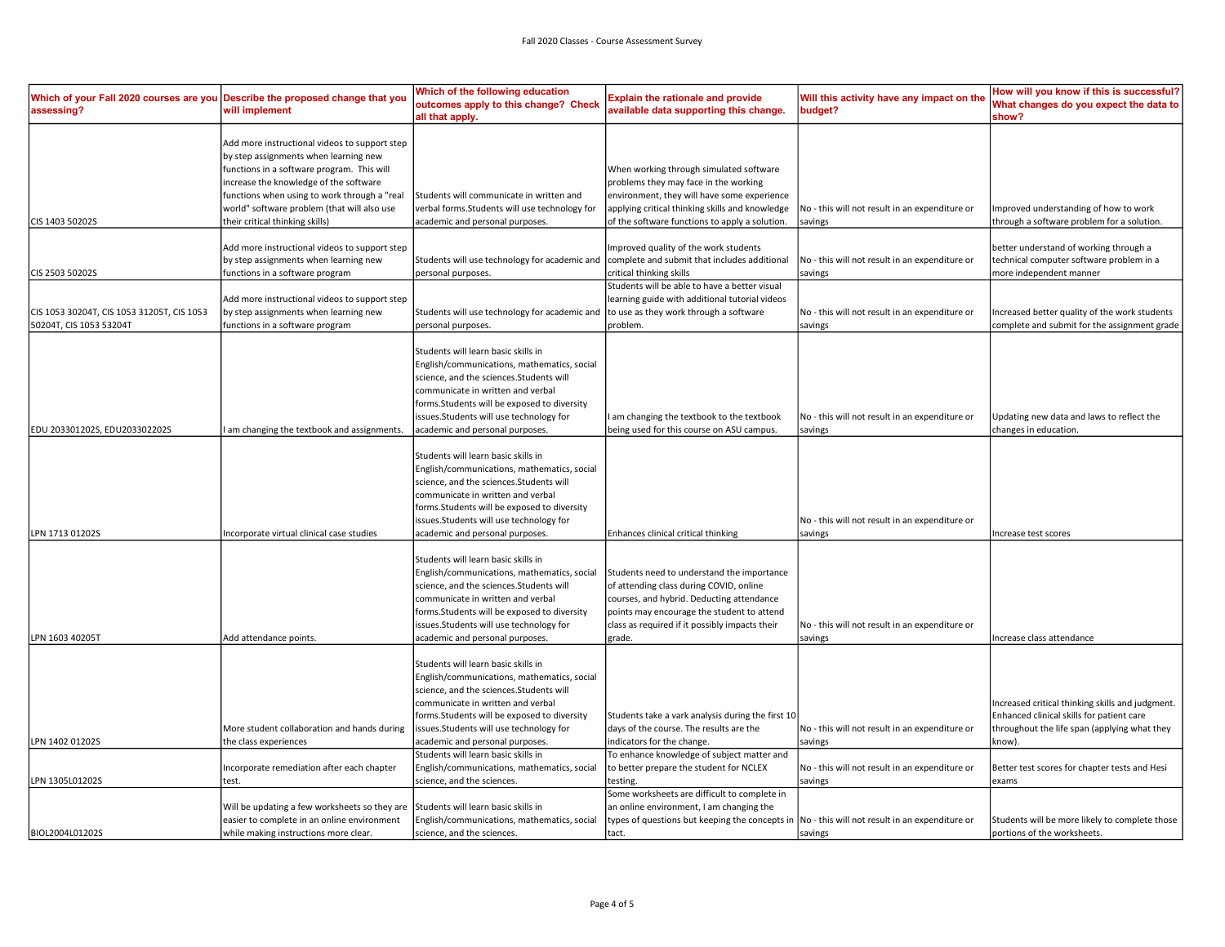| Which of your Fall 2020 courses are you<br>assessing? | Describe the proposed change that you<br>will implement                                                                                                                                                                                                                       | Which of the following education<br>outcomes apply to this change? Check<br>all that apply.                                                                                                                                                                                                     | <b>Explain the rationale and provide</b><br>available data supporting this change.                                                                                                                                                           | Will this activity have any impact on the<br>budget?      | How will you know if this is successful?<br>What changes do you expect the data to<br>show?                                                            |
|-------------------------------------------------------|-------------------------------------------------------------------------------------------------------------------------------------------------------------------------------------------------------------------------------------------------------------------------------|-------------------------------------------------------------------------------------------------------------------------------------------------------------------------------------------------------------------------------------------------------------------------------------------------|----------------------------------------------------------------------------------------------------------------------------------------------------------------------------------------------------------------------------------------------|-----------------------------------------------------------|--------------------------------------------------------------------------------------------------------------------------------------------------------|
|                                                       | Add more instructional videos to support step<br>by step assignments when learning new<br>functions in a software program. This will<br>increase the knowledge of the software<br>functions when using to work through a "real<br>world" software problem (that will also use | Students will communicate in written and<br>verbal forms. Students will use technology for                                                                                                                                                                                                      | When working through simulated software<br>problems they may face in the working<br>environment, they will have some experience<br>applying critical thinking skills and knowledge                                                           | No - this will not result in an expenditure or            | Improved understanding of how to work                                                                                                                  |
| CIS 1403 50202S                                       | their critical thinking skills)                                                                                                                                                                                                                                               | academic and personal purposes.                                                                                                                                                                                                                                                                 | of the software functions to apply a solution.                                                                                                                                                                                               | savings                                                   | through a software problem for a solution.                                                                                                             |
| CIS 2503 50202S                                       | Add more instructional videos to support step<br>by step assignments when learning new<br>functions in a software program<br>Add more instructional videos to support step                                                                                                    | Students will use technology for academic and<br>personal purposes.                                                                                                                                                                                                                             | Improved quality of the work students<br>complete and submit that includes additional<br>critical thinking skills<br>Students will be able to have a better visual<br>learning guide with additional tutorial videos                         | No - this will not result in an expenditure or<br>savings | better understand of working through a<br>technical computer software problem in a<br>more independent manner                                          |
| CIS 1053 30204T, CIS 1053 31205T, CIS 1053            | by step assignments when learning new                                                                                                                                                                                                                                         | Students will use technology for academic and                                                                                                                                                                                                                                                   | to use as they work through a software                                                                                                                                                                                                       | No - this will not result in an expenditure or            | Increased better quality of the work students                                                                                                          |
| 50204T, CIS 1053 53204T                               | functions in a software program                                                                                                                                                                                                                                               | personal purposes.                                                                                                                                                                                                                                                                              | problem.                                                                                                                                                                                                                                     | savings                                                   | complete and submit for the assignment grade                                                                                                           |
| EDU 203301202S, EDU203302202S                         | am changing the textbook and assignments.                                                                                                                                                                                                                                     | Students will learn basic skills in<br>English/communications, mathematics, social<br>science, and the sciences.Students will<br>communicate in written and verbal<br>forms.Students will be exposed to diversity<br>issues.Students will use technology for<br>academic and personal purposes. | I am changing the textbook to the textbook<br>being used for this course on ASU campus.                                                                                                                                                      | No - this will not result in an expenditure or<br>savings | Updating new data and laws to reflect the<br>changes in education.                                                                                     |
|                                                       |                                                                                                                                                                                                                                                                               | Students will learn basic skills in<br>English/communications, mathematics, social<br>science, and the sciences. Students will<br>communicate in written and verbal<br>forms.Students will be exposed to diversity<br>issues.Students will use technology for                                   |                                                                                                                                                                                                                                              | No - this will not result in an expenditure or            |                                                                                                                                                        |
| LPN 1713 01202S                                       | Incorporate virtual clinical case studies                                                                                                                                                                                                                                     | academic and personal purposes.                                                                                                                                                                                                                                                                 | Enhances clinical critical thinking                                                                                                                                                                                                          | savings                                                   | Increase test scores                                                                                                                                   |
| LPN 1603 40205T                                       | Add attendance points.                                                                                                                                                                                                                                                        | Students will learn basic skills in<br>English/communications, mathematics, social<br>science, and the sciences.Students will<br>communicate in written and verbal<br>forms.Students will be exposed to diversity<br>issues.Students will use technology for<br>academic and personal purposes. | Students need to understand the importance<br>of attending class during COVID, online<br>courses, and hybrid. Deducting attendance<br>points may encourage the student to attend<br>class as required if it possibly impacts their<br>grade. | No - this will not result in an expenditure or<br>savings | Increase class attendance                                                                                                                              |
| LPN 1402 01202S                                       | More student collaboration and hands during<br>the class experiences                                                                                                                                                                                                          | Students will learn basic skills in<br>English/communications, mathematics, social<br>science, and the sciences.Students will<br>communicate in written and verbal<br>forms.Students will be exposed to diversity<br>issues.Students will use technology for<br>academic and personal purposes. | Students take a vark analysis during the first 10<br>days of the course. The results are the<br>indicators for the change.                                                                                                                   | No - this will not result in an expenditure or<br>savings | Increased critical thinking skills and judgment.<br>Enhanced clinical skills for patient care<br>throughout the life span (applying what they<br>know) |
|                                                       |                                                                                                                                                                                                                                                                               | Students will learn basic skills in                                                                                                                                                                                                                                                             | To enhance knowledge of subject matter and                                                                                                                                                                                                   |                                                           |                                                                                                                                                        |
| LPN 1305L01202S                                       | Incorporate remediation after each chapter<br>test.                                                                                                                                                                                                                           | English/communications, mathematics, social<br>science, and the sciences.                                                                                                                                                                                                                       | to better prepare the student for NCLEX<br>testing.                                                                                                                                                                                          | No - this will not result in an expenditure or<br>savings | Better test scores for chapter tests and Hesi<br>exams                                                                                                 |
|                                                       | Will be updating a few worksheets so they are<br>easier to complete in an online environment                                                                                                                                                                                  | Students will learn basic skills in<br>English/communications, mathematics, social                                                                                                                                                                                                              | Some worksheets are difficult to complete in<br>an online environment, I am changing the<br>types of questions but keeping the concepts in  No - this will not result in an expenditure or                                                   |                                                           | Students will be more likely to complete those                                                                                                         |
| BIOL2004L01202S                                       | while making instructions more clear.                                                                                                                                                                                                                                         | science, and the sciences.                                                                                                                                                                                                                                                                      | ltact.                                                                                                                                                                                                                                       | savings                                                   | portions of the worksheets.                                                                                                                            |